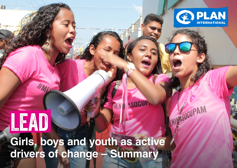

ASOCUPAM

**Girls, boys and youth as active drivers of change – Summary**

**MEN II ASOCUT** 

**LEAD: And you have driven as active drivers of change as active drivers of change – Summary – Summary – Summary – Summary – Summary – Summary – Summary – Summary – Summary – Summary – Summary – Summary – Summary – Summary** 

LEAD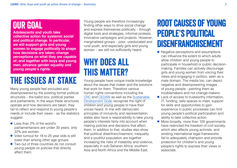## Our goal

**Adolescents and youth take collective action for systemic social and political change. In particular, we will support girls and young women to engage politically to shape how decisions are taken; change perceptions on what they are capable of; and together with boys and young men, advance gender equality and young people's rights.**

# The issues at stake

Many young people feel excluded and disempowered by the existing formal political structures – the ballot box, political parties and parliaments. In the ways these structures operate and how decisions are taken, they fail to reflect and respond to young people's needs or include their views – as the statistics suggest.

- Less than 2% of the world's parliamentarians are under 30 years, only 22% are women.
- Voter turnout for 18 to 25 year olds is still lower than among other age groups.
- Two out of three countries do not consult young people on policies that directly affect them.

Young people are therefore increasingly finding other ways to drive social change and express themselves politically – through digital tools and strategies, informal protests, innovative campaigns and projects. However, marginalised groups – poor, uneducated and rural youth, and especially girls and young women – are still not sufficiently heard.

## WHY DOES ALL this matter?

Young people have unique inside knowledge about the issues that matter and the solutions that work for them. Therefore various human rights conventions including the [CRC](https://www.unicef.org/crc/files/Rights_overview.pdf) and [CEDAW](https://www.ohchr.org/Documents/ProfessionalInterest/cedaw.pdf) as well as the [Sustainable](http://www.undp.org/content/dam/undp/library/corporate/brochure/SDGs_Booklet_Web_En.pdf)  [Development Goals](http://www.undp.org/content/dam/undp/library/corporate/brochure/SDGs_Booklet_Web_En.pdf) recognise the right of children and young people to have their voices heard. In line with democratic principles of inclusivity and representation, states also have a responsibility to take young people's interests fairly into account when making policies and decisions that affect them. In addition to that, studies also show that political disenfranchisement, inequality and a youthful population are together increasing the risks of instability and violence, especially in sub-Saharan Africa, southern Asia and North Africa and the Middle East.

## Root causes of young people's political Disenfranchisement

- Negative perceptions and assumptions can influence the extent to which adults allow children and young people to participate in household or public decisionmaking. Families can actively discourage girls and young women from voicing their views and engaging in politics, seen as a male domain. The media too, can depict negative and disempowering images of young people - painting them as troublemakers and not change-makers.
- Lack of access to trustworthy information, IT, funding, safe spaces to meet, support for skills and opportunities to gain experience in public processes can limit young people's political participation and ability to take collective action.
- More broadly, more than 100 governments have restricted the freedom of civil society, which also affects young activists, and existing international legal frameworks fail to adequately champion and provide protection for children's and young people's rights to express their views or associate.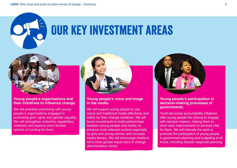



#### **Young people's organisations and their initiatives to influence change.**

We will prioritise partnering with young people's organisations engaged in promoting girls' rights and gender equality. We will strengthen collective capabilities, networks and explore more flexible options of funding for them.



#### **Young people's voice and image in the media.**

We will support young people to use social and traditional media effectively and safely for their change initiatives. We will boost investments to build partnerships between young people and media, to produce more relevant content especially by girls and young women and increase media literacy. We will encourage media to tell a more gender equal story to change discriminatory norms.



#### **Young people's participation in decision-making processes of governments.**

Youth-led social accountability initiatives offer young people the chance to engage with decision makers, helping them to drive clear improvements to services vital for them. We will intensify the work to promote the participation of young people in government planning and budgeting at all levels, including disaster response planning.